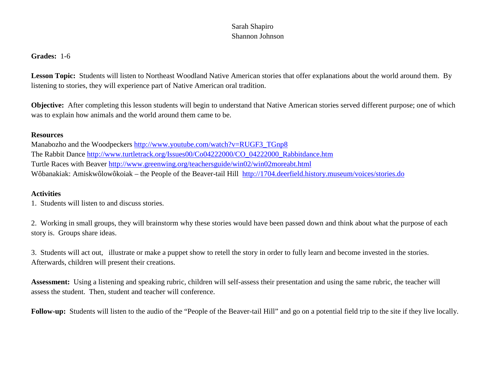## Sarah Shapiro Shannon Johnson

## **Grades:** 1-6

**Lesson Topic:** Students will listen to Northeast Woodland Native American stories that offer explanations about the world around them. By listening to stories, they will experience part of Native American oral tradition.

**Objective:** After completing this lesson students will begin to understand that Native American stories served different purpose; one of which was to explain how animals and the world around them came to be.

## **Resources**

Manabozho and the Woodpeckers [http://www.youtube.com/watch?v=RUGF3\\_TGnp8](http://www.youtube.com/watch?v=RUGF3_TGnp8) The Rabbit Dance [http://www.turtletrack.org/Issues00/Co04222000/CO\\_04222000\\_Rabbitdance.htm](http://www.turtletrack.org/Issues00/Co04222000/CO_04222000_Rabbitdance.htm) Turtle Races with Beaver<http://www.greenwing.org/teachersguide/win02/win02moreabt.html> Wôbanakiak: Amiskwôlowôkoiak – the People of the Beaver-tail Hill <http://1704.deerfield.history.museum/voices/stories.do>

## **Activities**

1. Students will listen to and discuss stories.

2. Working in small groups, they will brainstorm why these stories would have been passed down and think about what the purpose of each story is. Groups share ideas.

3. Students will act out, illustrate or make a puppet show to retell the story in order to fully learn and become invested in the stories. Afterwards, children will present their creations.

**Assessment:** Using a listening and speaking rubric, children will self-assess their presentation and using the same rubric, the teacher will assess the student. Then, student and teacher will conference.

**Follow-up:** Students will listen to the audio of the "People of the Beaver-tail Hill" and go on a potential field trip to the site if they live locally.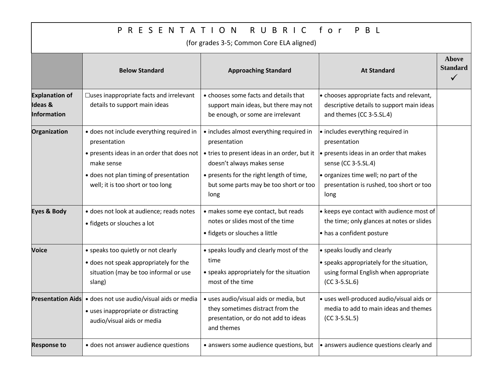| RUBRIC<br>for<br>R E S E N T A T I O N<br>P B L<br>P<br>(for grades 3-5; Common Core ELA aligned) |                                                                                                                                                                                                      |                                                                                                                                                                                                                                      |                                                                                                                                                                                                                              |                                                 |  |  |  |
|---------------------------------------------------------------------------------------------------|------------------------------------------------------------------------------------------------------------------------------------------------------------------------------------------------------|--------------------------------------------------------------------------------------------------------------------------------------------------------------------------------------------------------------------------------------|------------------------------------------------------------------------------------------------------------------------------------------------------------------------------------------------------------------------------|-------------------------------------------------|--|--|--|
|                                                                                                   | <b>Below Standard</b>                                                                                                                                                                                | <b>Approaching Standard</b>                                                                                                                                                                                                          | <b>At Standard</b>                                                                                                                                                                                                           | <b>Above</b><br><b>Standard</b><br>$\checkmark$ |  |  |  |
| <b>Explanation of</b><br><b>Ideas &amp;</b><br>Information                                        | □uses inappropriate facts and irrelevant<br>details to support main ideas                                                                                                                            | • chooses some facts and details that<br>support main ideas, but there may not<br>be enough, or some are irrelevant                                                                                                                  | $\cdot$ chooses appropriate facts and relevant,<br>descriptive details to support main ideas<br>and themes (CC 3-5.SL.4)                                                                                                     |                                                 |  |  |  |
| Organization                                                                                      | · does not include everything required in<br>presentation<br>• presents ideas in an order that does not<br>make sense<br>• does not plan timing of presentation<br>well; it is too short or too long | • includes almost everything required in<br>presentation<br>• tries to present ideas in an order, but it<br>doesn't always makes sense<br>• presents for the right length of time,<br>but some parts may be too short or too<br>long | $\cdot$ includes everything required in<br>presentation<br>presents ideas in an order that makes<br>sense (CC 3-5.SL.4)<br>$\bullet$ organizes time well; no part of the<br>presentation is rushed, too short or too<br>long |                                                 |  |  |  |
| <b>Eyes &amp; Body</b>                                                                            | · does not look at audience; reads notes<br>• fidgets or slouches a lot                                                                                                                              | · makes some eye contact, but reads<br>notes or slides most of the time<br>• fidgets or slouches a little                                                                                                                            | $\cdot$ keeps eye contact with audience most of<br>the time; only glances at notes or slides<br>• has a confident posture                                                                                                    |                                                 |  |  |  |
| <b>Voice</b>                                                                                      | • speaks too quietly or not clearly<br>• does not speak appropriately for the<br>situation (may be too informal or use<br>slang)                                                                     | • speaks loudly and clearly most of the<br>time<br>• speaks appropriately for the situation<br>most of the time                                                                                                                      | • speaks loudly and clearly<br>$\bullet$ speaks appropriately for the situation,<br>using formal English when appropriate<br>$(CC 3-5.SL.6)$                                                                                 |                                                 |  |  |  |
|                                                                                                   | <b>Presentation Aids</b> • does not use audio/visual aids or media $\vert \cdot \vert$ uses audio/visual aids or media, but<br>• uses inappropriate or distracting<br>audio/visual aids or media     | they sometimes distract from the<br>presentation, or do not add to ideas<br>and themes                                                                                                                                               | • uses well-produced audio/visual aids or<br>media to add to main ideas and themes<br>$(CC 3-5.SL.5)$                                                                                                                        |                                                 |  |  |  |
| <b>Response to</b>                                                                                | • does not answer audience questions                                                                                                                                                                 | • answers some audience questions, but                                                                                                                                                                                               | $\bullet$ answers audience questions clearly and                                                                                                                                                                             |                                                 |  |  |  |